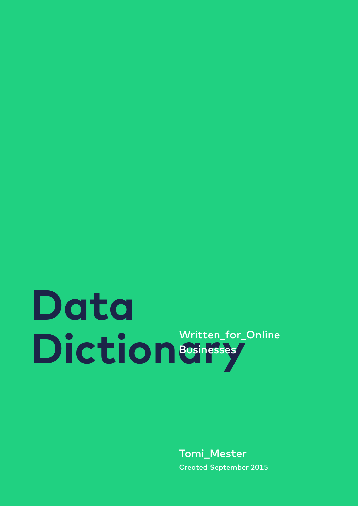### **Data** Diction<sup>&Written\_for\_Online</sup> **Businesses**

Tomi\_Mester Created September 2015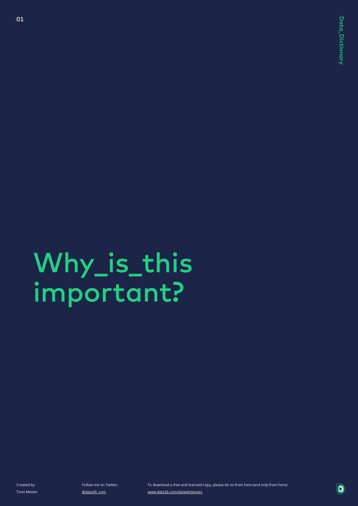## Why\_is\_this important?

Created by Tomi Mester

01

Follow me on Twitter: @data36\_com

To download a free and licensed copy, please do so from here (and only from here): www.data36.com/datadictionary

D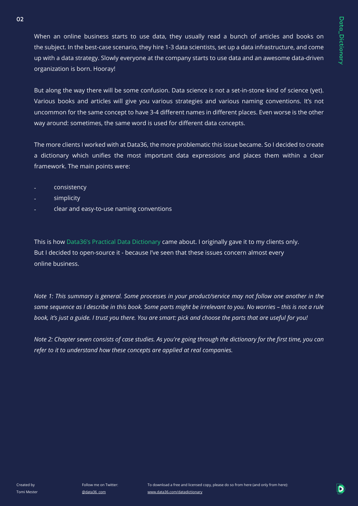When an online business starts to use data, they usually read a bunch of articles and books on the subject. In the best-case scenario, they hire 1-3 data scientists, set up a data infrastructure, and come up with a data strategy. Slowly everyone at the company starts to use data and an awesome data-driven organization is born. Hooray!

But along the way there will be some confusion. Data science is not a set-in-stone kind of science (yet). Various books and articles will give you various strategies and various naming conventions. It's not uncommon for the same concept to have 3-4 different names in different places. Even worse is the other way around: sometimes, the same word is used for different data concepts.

The more clients I worked with at Data36, the more problematic this issue became. So I decided to create a dictionary which unifies the most important data expressions and places them within a clear framework. The main points were:

- consistency
- simplicity

02

clear and easy-to-use naming conventions

This is how Data36's Practical Data Dictionary came about. I originally gave it to my clients only. But I decided to open-source it - because I've seen that these issues concern almost every online business.

*Note 1: This summary is general. Some processes in your product/service may not follow one another in the same sequence as I describe in this book. Some parts might be irrelevant to you. No worries – this is not a rule book, it's just a guide. I trust you there. You are smart: pick and choose the parts that are useful for you!*

*Note 2: Chapter seven consists of case studies. As you're going through the dictionary for the first time, you can refer to it to understand how these concepts are applied at real companies.*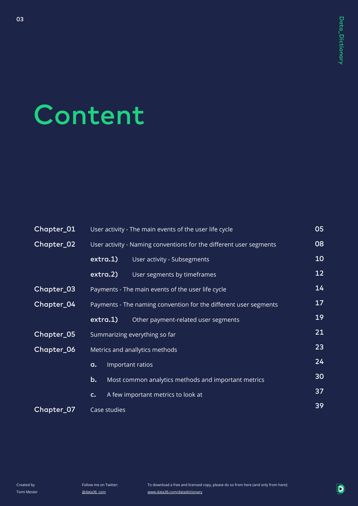## Content

03

| Chapter_01 | 05<br>User activity - The main events of the user life cycle       |                                     |    |  |  |  |
|------------|--------------------------------------------------------------------|-------------------------------------|----|--|--|--|
| Chapter_02 | User activity - Naming conventions for the different user segments | 08                                  |    |  |  |  |
|            | extra.1)                                                           | User activity - Subsegments         | 10 |  |  |  |
|            | extra.2)                                                           | User segments by timeframes         | 12 |  |  |  |
| Chapter_03 | Payments - The main events of the user life cycle                  |                                     |    |  |  |  |
| Chapter_04 | Payments - The naming convention for the different user segments   |                                     |    |  |  |  |
|            | extra.1)                                                           | Other payment-related user segments | 19 |  |  |  |
| Chapter_05 | Summarizing everything so far                                      | 21                                  |    |  |  |  |
| Chapter_06 |                                                                    | Metrics and anallytics methods      | 23 |  |  |  |
|            | Important ratios<br>a.                                             |                                     |    |  |  |  |
|            | 30<br>b.<br>Most common analytics methods and important metrics    |                                     |    |  |  |  |
|            | A few important metrics to look at<br>$\mathsf{c}$ .               |                                     |    |  |  |  |
| Chapter_07 | Case studies                                                       |                                     |    |  |  |  |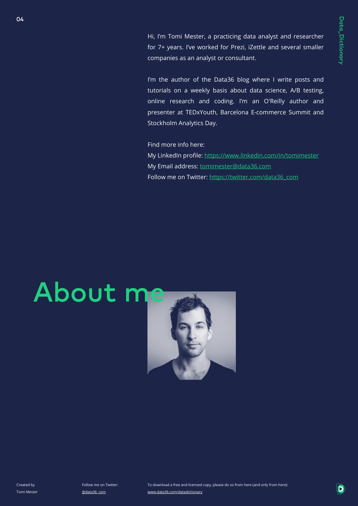Hi, I'm Tomi Mester, a practicing data analyst and researcher for 7+ years. I've worked for Prezi, iZettle and several smaller companies as an analyst or consultant.

I'm the author of the Data36 blog where I write posts and tutorials on a weekly basis about data science, A/B testing, online research and coding. I'm an O'Reilly author and presenter at TEDxYouth, Barcelona E-commerce Summit and Stockholm Analytics Day.

Find more info here: My LinkedIn profile: https://www.linkedin.com/in/tomimester My Email address: tomimester@data36.com Follow me on Twitter: https://twitter.com/data36\_com

# About me



04

Follow me on Twitter: @data36\_com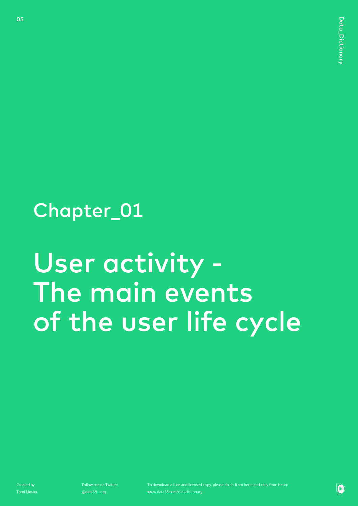### Chapter\_01

### User activity - The main events of the user life cycle

Created by Tomi Mester

05

Follow me on Twitter: @data36\_com

www.data36.com/datadictionary

Þ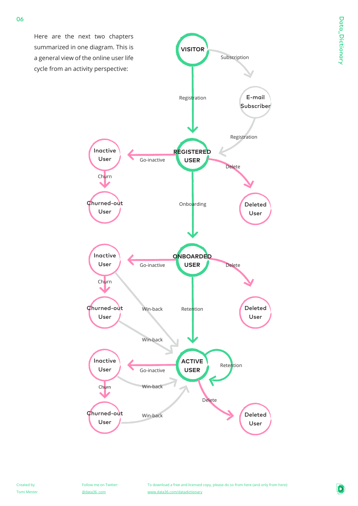

06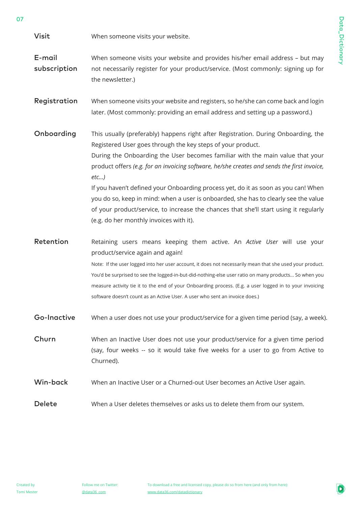Data\_Dictionary Data\_Dictionary

When someone visits your website. Visit

When someone visits your website and provides his/her email address – but may not necessarily register for your product/service. (Most commonly: signing up for the newsletter.) E-mail subscription

When someone visits your website and registers, so he/she can come back and login later. (Most commonly: providing an email address and setting up a password.) Registration

This usually (preferably) happens right after Registration. During Onboarding, the Registered User goes through the key steps of your product. During the Onboarding the User becomes familiar with the main value that your product offers *(e.g. for an invoicing software, he/she creates and sends the first invoice, etc…)*  If you haven't defined your Onboarding process yet, do it as soon as you can! When you do so, keep in mind: when a user is onboarded, she has to clearly see the value of your product/service, to increase the chances that she'll start using it regularly Onboarding

(e.g. do her monthly invoices with it).

Retaining users means keeping them active. An *Active User* will use your product/service again and again! Note: If the user logged into her user account, it does not necessarily mean that she used your product. You'd be surprised to see the logged-in-but-did-nothing-else user ratio on many products... So when you measure activity tie it to the end of your Onboarding process. (E.g. a user logged in to your invoicing software doesn't count as an Active User. A user who sent an invoice does.) Retention

When a user does not use your product/service for a given time period (say, a week). Go-Inactive

When an Inactive User does not use your product/service for a given time period (say, four weeks -- so it would take five weeks for a user to go from Active to Churned). Churn

When an Inactive User or a Churned-out User becomes an Active User again. Win-back

When a User deletes themselves or asks us to delete them from our system. Delete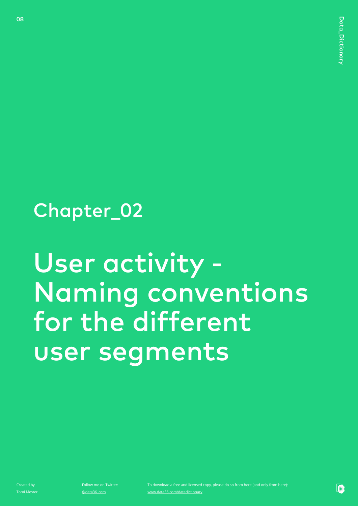### Chapter\_02

## User activity - Naming conventions for the different user segments

Created by Tomi Mester

08

Follow me on Twitter: @data36\_com

www.data36.com/datadictionary

Þ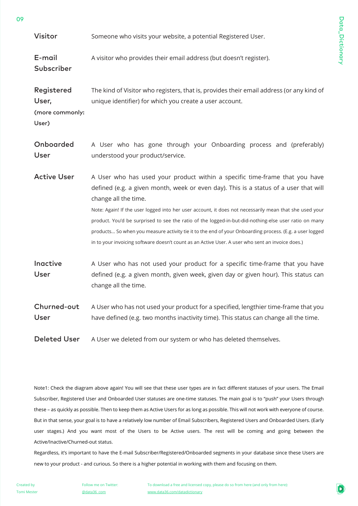Data\_Dictionary Data\_Dictionary

| E-mail                            | A visitor who provides their email address (but doesn't register).                                                                                                                                          |
|-----------------------------------|-------------------------------------------------------------------------------------------------------------------------------------------------------------------------------------------------------------|
| Subscriber<br>Registered<br>User, | The kind of Visitor who registers, that is, provides their email address (or any kind of<br>unique identifier) for which you create a user account.                                                         |
| (more commonly:<br>User)          |                                                                                                                                                                                                             |
| Onboarded<br>User                 | A User who has gone through your Onboarding process and (preferably)<br>understood your product/service.                                                                                                    |
| <b>Active User</b>                | A User who has used your product within a specific time-frame that you have<br>defined (e.g. a given month, week or even day). This is a status of a user that will<br>change all the time.                 |
|                                   | Note: Again! If the user logged into her user account, it does not necessarily mean that she used your                                                                                                      |
|                                   | product. You'd be surprised to see the ratio of the logged-in-but-did-nothing-else user ratio on many                                                                                                       |
|                                   | products So when you measure activity tie it to the end of your Onboarding process. (E.g. a user logged<br>in to your invoicing software doesn't count as an Active User. A user who sent an invoice does.) |
| Inactive<br>User                  | A User who has not used your product for a specific time-frame that you have<br>defined (e.g. a given month, given week, given day or given hour). This status can<br>change all the time.                  |
| Churned-out<br>User               | A User who has not used your product for a specified, lengthier time-frame that you<br>have defined (e.g. two months inactivity time). This status can change all the time.                                 |
| <b>Deleted User</b>               | A User we deleted from our system or who has deleted themselves.                                                                                                                                            |

Someone who visits your website, a potential Registered User.

Note1: Check the diagram above again! You will see that these user types are in fact different statuses of your users. The Email Subscriber, Registered User and Onboarded User statuses are one-time statuses. The main goal is to "push" your Users through these – as quickly as possible. Then to keep them as Active Users for as long as possible. This will not work with everyone of course. But in that sense, your goal is to have a relatively low number of Email Subscribers, Registered Users and Onboarded Users. (Early user stages.) And you want most of the Users to be Active users. The rest will be coming and going between the Active/Inactive/Churned-out status.

Regardless, it's important to have the E-mail Subscriber/Registered/Onboarded segments in your database since these Users are new to your product - and curious. So there is a higher potential in working with them and focusing on them.

Visitor

Follow me on Twitter: @data36\_com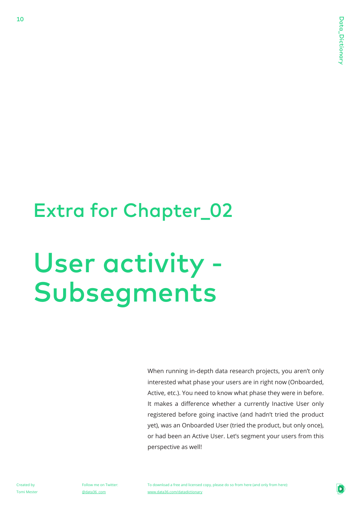### Extra for Chapter\_02

## User activity - Subsegments

When running in-depth data research projects, you aren't only interested what phase your users are in right now (Onboarded, Active, etc.). You need to know what phase they were in before. It makes a difference whether a currently Inactive User only registered before going inactive (and hadn't tried the product yet), was an Onboarded User (tried the product, but only once), or had been an Active User. Let's segment your users from this perspective as well!

Created by Tomi Mester

10

Follow me on Twitter: @data36\_com

To download a free and licensed copy, please do so from here (and only from here): www.data36.com/datadictionary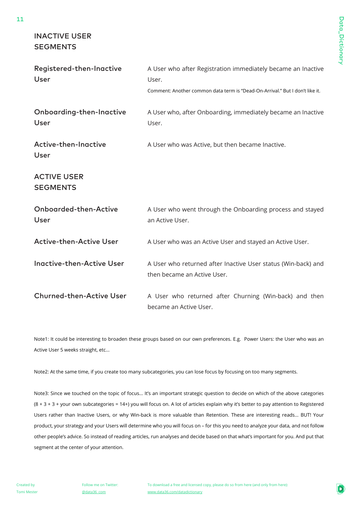Data\_Dictionary Data\_Dictionary

#### INACTIVE USER **SEGMENTS**

| Registered-then-Inactive<br>User      | A User who after Registration immediately became an Inactive<br>User.<br>Comment: Another common data term is "Dead-On-Arrival." But I don't like it. |
|---------------------------------------|-------------------------------------------------------------------------------------------------------------------------------------------------------|
| Onboarding-then-Inactive<br>User      | A User who, after Onboarding, immediately became an Inactive<br>User.                                                                                 |
| Active-then-Inactive<br>User          | A User who was Active, but then became Inactive.                                                                                                      |
| <b>ACTIVE USER</b><br><b>SEGMENTS</b> |                                                                                                                                                       |
| Onboarded-then-Active<br><b>User</b>  | A User who went through the Onboarding process and stayed<br>an Active User.                                                                          |
| <b>Active-then-Active User</b>        | A User who was an Active User and stayed an Active User.                                                                                              |
| <b>Inactive-then-Active User</b>      | A User who returned after Inactive User status (Win-back) and<br>then became an Active User.                                                          |
| <b>Churned-then-Active User</b>       | A User who returned after Churning (Win-back) and then<br>became an Active User.                                                                      |

Note1: It could be interesting to broaden these groups based on our own preferences. E.g. Power Users: the User who was an Active User 5 weeks straight, etc...

Note2: At the same time, if you create too many subcategories, you can lose focus by focusing on too many segments.

Note3: Since we touched on the topic of focus... It's an important strategic question to decide on which of the above categories (8 + 3 + 3 + your own subcategories = 14+) you will focus on. A lot of articles explain why it's better to pay attention to Registered Users rather than Inactive Users, or why Win-back is more valuable than Retention. These are interesting reads... BUT! Your product, your strategy and your Users will determine who you will focus on – for this you need to analyze your data, and not follow other people's advice. So instead of reading articles, run analyses and decide based on that what's important for you. And put that segment at the center of your attention.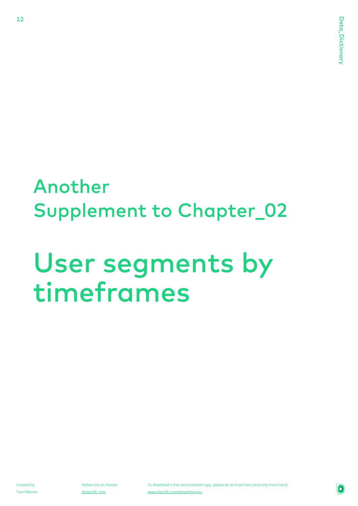### Another Supplement to Chapter\_02

## User segments by timeframes

Created by Tomi Mester

12

Follow me on Twitter: @data36\_com

To download a free and licensed copy, please do so from here (and only from here): www.data36.com/datadictionary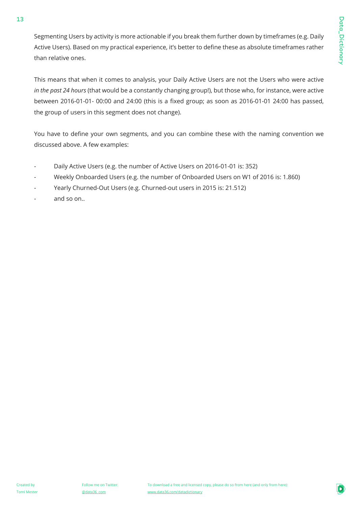Segmenting Users by activity is more actionable if you break them further down by timeframes (e.g. Daily Active Users). Based on my practical experience, it's better to define these as absolute timeframes rather than relative ones.

This means that when it comes to analysis, your Daily Active Users are not the Users who were active *in the past 24 hours* (that would be a constantly changing group!), but those who, for instance, were active between 2016-01-01- 00:00 and 24:00 (this is a fixed group; as soon as 2016-01-01 24:00 has passed, the group of users in this segment does not change).

You have to define your own segments, and you can combine these with the naming convention we discussed above. A few examples:

- Daily Active Users (e.g. the number of Active Users on 2016-01-01 is: 352) -
- Weekly Onboarded Users (e.g. the number of Onboarded Users on W1 of 2016 is: 1.860) -
- Yearly Churned-Out Users (e.g. Churned-out users in 2015 is: 21.512) -
- and so on.. -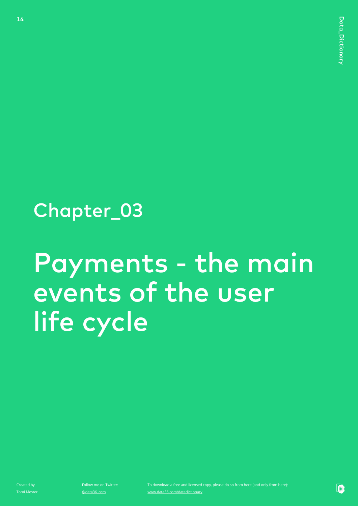### Chapter\_03

## Payments - the main events of the user life cycle

Created by Tomi Mester

14

Follow me on Twitter: @data36\_com

Þ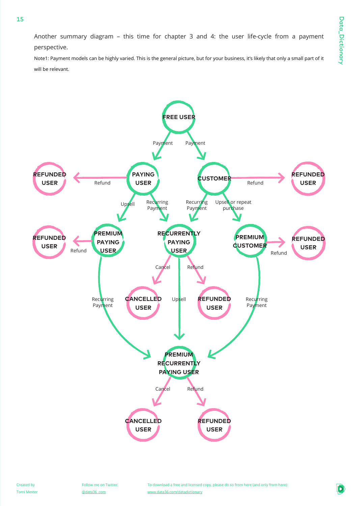Another summary diagram – this time for chapter 3 and 4: the user life-cycle from a payment perspective.

Note1: Payment models can be highly varied. This is the general picture, but for your business, it's likely that only a small part of it will be relevant.

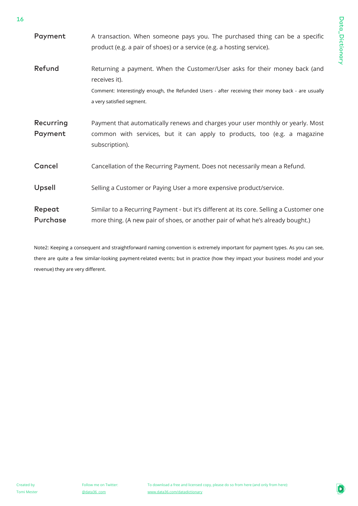| Payment              | A transaction. When someone pays you. The purchased thing can be a specific<br>product (e.g. a pair of shoes) or a service (e.g. a hosting service).                                                                           |
|----------------------|--------------------------------------------------------------------------------------------------------------------------------------------------------------------------------------------------------------------------------|
| Refund               | Returning a payment. When the Customer/User asks for their money back (and<br>receives it).<br>Comment: Interestingly enough, the Refunded Users - after receiving their money back - are usually<br>a very satisfied segment. |
| Recurring<br>Payment | Payment that automatically renews and charges your user monthly or yearly. Most<br>common with services, but it can apply to products, too (e.g. a magazine<br>subscription).                                                  |
| Cancel               | Cancellation of the Recurring Payment. Does not necessarily mean a Refund.                                                                                                                                                     |
| Upsell               | Selling a Customer or Paying User a more expensive product/service.                                                                                                                                                            |
| Repeat<br>Purchase   | Similar to a Recurring Payment - but it's different at its core. Selling a Customer one<br>more thing. (A new pair of shoes, or another pair of what he's already bought.)                                                     |

Note2: Keeping a consequent and straightforward naming convention is extremely important for payment types. As you can see, there are quite a few similar-looking payment-related events; but in practice (how they impact your business model and your revenue) they are very different.

16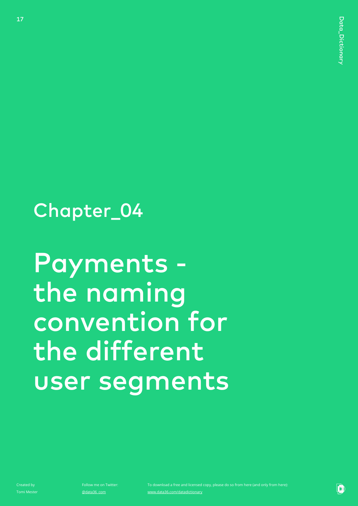### Chapter\_04

## Payments the naming convention for the different user segments

Created by Tomi Mester

17

Follow me on Twitter: @data36\_com

Þ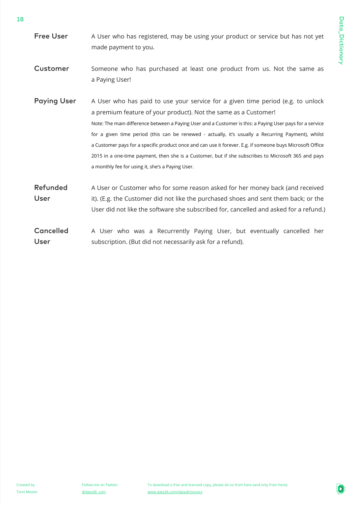- A User who has registered, may be using your product or service but has not yet made payment to you. Free User
- Someone who has purchased at least one product from us. Not the same as a Paying User! Customer
- A User who has paid to use your service for a given time period (e.g. to unlock a premium feature of your product). Not the same as a Customer! Note: The main difference between a Paying User and a Customer is this: a Paying User pays for a service for a given time period (this can be renewed - actually, it's usually a Recurring Payment), whilst a Customer pays for a specific product once and can use it forever. E.g. if someone buys Microsoft Office 2015 in a one-time payment, then she is a Customer, but if she subscribes to Microsoft 365 and pays a monthly fee for using it, she's a Paying User. Paying User
- A User or Customer who for some reason asked for her money back (and received it). (E.g. the Customer did not like the purchased shoes and sent them back; or the User did not like the software she subscribed for, cancelled and asked for a refund.) Refunded User
- A User who was a Recurrently Paying User, but eventually cancelled her subscription. (But did not necessarily ask for a refund). Cancelled User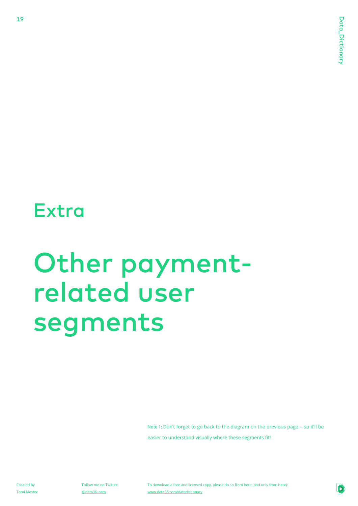### **Extra**

19

## Other paymentrelated user segments

Note 1: Don't forget to go back to the diagram on the previous page -- so it'll be easier to understand visually where these segments fit!

Created by Tomi Mester Follow me on Twitter: @data36\_com

To download a free and licensed copy, please do so from here (and only from here): www.data36.com/datadictionary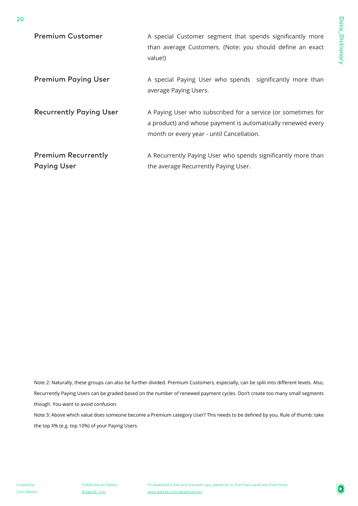| <b>Premium Customer</b>                          | A special Customer segment that spends significantly more<br>than average Customers. (Note: you should define an exact<br>value!)                                        |
|--------------------------------------------------|--------------------------------------------------------------------------------------------------------------------------------------------------------------------------|
| <b>Premium Paying User</b>                       | A special Paying User who spends significantly more than<br>average Paying Users.                                                                                        |
| <b>Recurrently Paying User</b>                   | A Paying User who subscribed for a service (or sometimes for<br>a product) and whose payment is automatically renewed every<br>month or every year - until Cancellation. |
| <b>Premium Recurrently</b><br><b>Paying User</b> | A Recurrently Paying User who spends significantly more than<br>the average Recurrently Paying User.                                                                     |

Note 2: Naturally, these groups can also be further divided. Premium Customers, especially, can be split into different levels. Also, Recurrently Paying Users can be graded based on the number of renewed payment cycles. Don't create too many small segments though. You want to avoid confusion.

Note 3: Above which value does someone become a Premium category User? This needs to be defined by you. Rule of thumb: take the top X% (e.g. top 10%) of your Paying Users.

20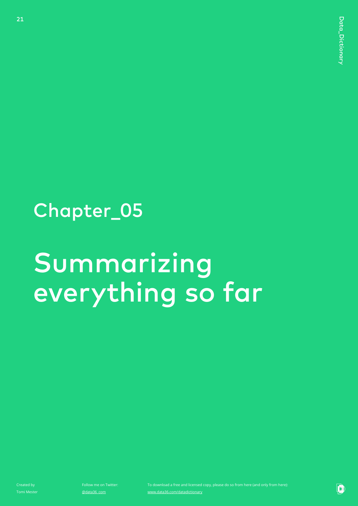### Chapter\_05

## Summarizing everything so far

Created by Tomi Mester

21

Follow me on Twitter: @data36\_com

www.data36.com/datadictionary

Þ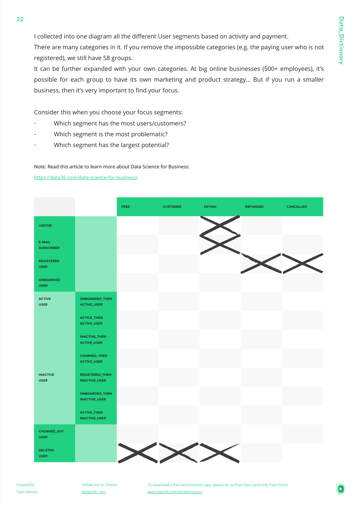I collected into one diagram all the different User segments based on activity and payment.

There are many categories in it. If you remove the impossible categories (e.g. the paying user who is not registered), we still have 58 groups.

It can be further expanded with your own categories. At big online businesses (500+ employees), it's possible for each group to have its own marketing and product strategy... But if you run a smaller business, then it's very important to find your focus.

Consider this when you choose your focus segments:

- Which segment has the most users/customers?
- Which segment is the most problematic?
- Which segment has the largest potential?

Note: Read this article to learn more about Data Science for Business:

https://data36.com/data-science-for-business/

 $22$ 

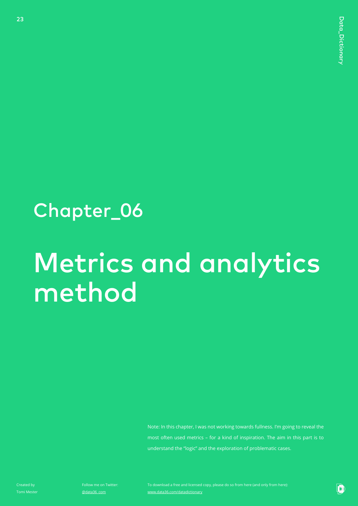### Chapter\_06

## Metrics and analytics method

Note: In this chapter, I was not working towards fullness. I'm going to reveal the most often used metrics – for a kind of inspiration. The aim in this part is to understand the "logic" and the exploration of problematic cases.

Created by Tomi Mester

23

Follow me on Twitter: @data36\_com

www.data36.com/datadictionary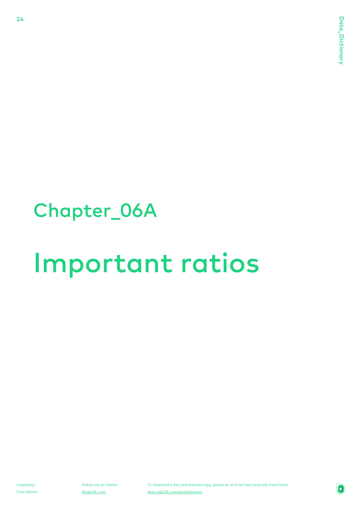### Chapter\_06A

## Important ratios

Created by Tomi Mester

24

Follow me on Twitter: @data36\_com

To download a free and licensed copy, please do so from here (and only from here): www.data36.com/datadictionary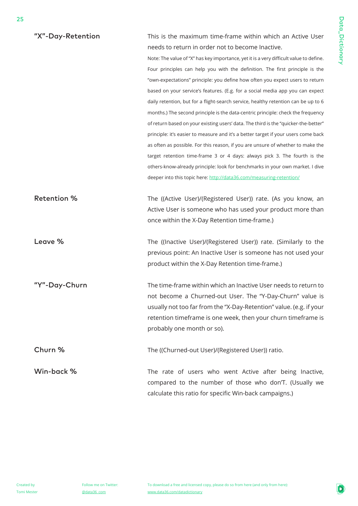| "X"-Day-Retention  | This is the maximum time-frame within which an Active User                             |
|--------------------|----------------------------------------------------------------------------------------|
|                    | needs to return in order not to become Inactive.                                       |
|                    | Note: The value of "X" has key importance, yet it is a very difficult value to define. |
|                    | Four principles can help you with the definition. The first principle is the           |
|                    | "own-expectations" principle: you define how often you expect users to return          |
|                    | based on your service's features. (E.g. for a social media app you can expect          |
|                    | daily retention, but for a flight-search service, healthy retention can be up to 6     |
|                    | months.) The second principle is the data-centric principle: check the frequency       |
|                    | of return based on your existing users' data. The third is the "quicker-the-better"    |
|                    | principle: it's easier to measure and it's a better target if your users come back     |
|                    | as often as possible. For this reason, if you are unsure of whether to make the        |
|                    | target retention time-frame 3 or 4 days: always pick 3. The fourth is the              |
|                    | others-know-already principle: look for benchmarks in your own market. I dive          |
|                    | deeper into this topic here: http://data36.com/measuring-retention/                    |
|                    |                                                                                        |
| <b>Retention %</b> | The ((Active User)/(Registered User)) rate. (As you know, an                           |
|                    | Active User is someone who has used your product more than                             |
|                    | once within the X-Day Retention time-frame.)                                           |
|                    |                                                                                        |
| Leave %            | The ((Inactive User)/(Registered User)) rate. (Similarly to the                        |
|                    | previous point: An Inactive User is someone has not used your                          |
|                    | product within the X-Day Retention time-frame.)                                        |
|                    |                                                                                        |
| "Y"-Day-Churn      | The time-frame within which an Inactive User needs to return to                        |
|                    | not become a Churned-out User. The "Y-Day-Churn" value is                              |
|                    | usually not too far from the "X-Day-Retention" value. (e.g. if your                    |
|                    | retention timeframe is one week, then your churn timeframe is                          |
|                    | probably one month or so).                                                             |
| Churn %            | The ((Churned-out User)/(Registered User)) ratio.                                      |
|                    |                                                                                        |
| Win-back %         | The rate of users who went Active after being Inactive,                                |
|                    | compared to the number of those who don'T. (Usually we                                 |
|                    | calculate this ratio for specific Win-back campaigns.)                                 |

25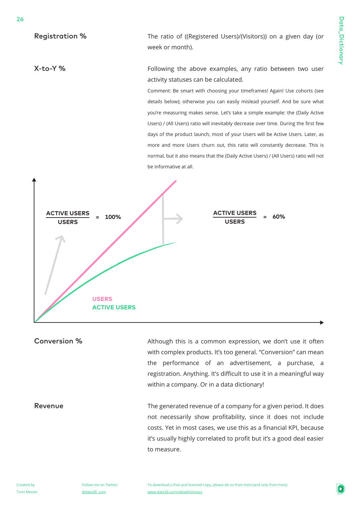Registration %

X-to-Y %

26

The ratio of ((Registered Users)/(Visitors)) on a given day (or week or month).

Following the above examples, any ratio between two user activity statuses can be calculated.

Comment: Be smart with choosing your timeframes! Again! Use cohorts (see details below); otherwise you can easily mislead yourself. And be sure what you're measuring makes sense. Let's take a simple example: the (Daily Active Users) / (All Users) ratio will inevitably decrease over time. During the first few days of the product launch, most of your Users will be Active Users. Later, as more and more Users churn out, this ratio will constantly decrease. This is normal, but it also means that the (Daily Active Users) / (All Users) ratio will not be informative at all.



Conversion %

Revenue

Although this is a common expression, we don't use it often with complex products. It's too general. "Conversion" can mean the performance of an advertisement, a purchase, a registration. Anything. It's difficult to use it in a meaningful way within a company. Or in a data dictionary!

The generated revenue of a company for a given period. It does not necessarily show profitability, since it does not include costs. Yet in most cases, we use this as a financial KPI, because it's usually highly correlated to profit but it's a good deal easier to measure.

Tomi Mester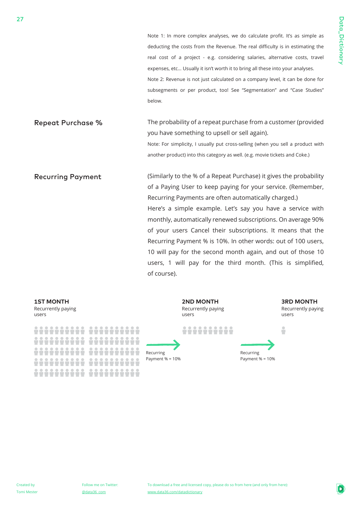Note 1: In more complex analyses, we do calculate profit. It's as simple as deducting the costs from the Revenue. The real difficulty is in estimating the real cost of a project - e.g. considering salaries, alternative costs, travel expenses, etc… Usually it isn't worth it to bring all these into your analyses. Note 2: Revenue is not just calculated on a company level, it can be done for subsegments or per product, too! See "Segmentation" and "Case Studies" below. The probability of a repeat purchase from a customer (provided you have something to upsell or sell again). Note: For simplicity, I usually put cross-selling (when you sell a product with another product) into this category as well. (e.g. movie tickets and Coke.) (Similarly to the % of a Repeat Purchase) it gives the probability of a Paying User to keep paying for your service. (Remember, Recurring Payments are often automatically charged.) Here's a simple example. Let's say you have a service with monthly, automatically renewed subscriptions. On average 90% of your users Cancel their subscriptions. It means that the Recurring Payment % is 10%. In other words: out of 100 users, 10 will pay for the second month again, and out of those 10 users, 1 will pay for the third month. (This is simplified, of course). Repeat Purchase % Recurring Payment



Recurrently paying users **1ST MONTH**

27

<u> 22222222 2222222222</u> 88888888 <u>222222222</u> <u> 1111111111 11111111</u> <u> 2222222222 22222222222</u>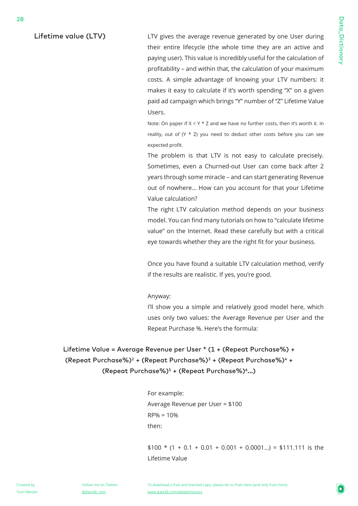Lifetime value (LTV)

28

LTV gives the average revenue generated by one User during their entire lifecycle (the whole time they are an active and paying user). This value is incredibly useful for the calculation of profitability – and within that, the calculation of your maximum costs. A simple advantage of knowing your LTV numbers: it makes it easy to calculate if it's worth spending "X" on a given paid ad campaign which brings "Y" number of "Z" Lifetime Value Users.

Note: On paper if  $X < Y * Z$  and we have no further costs, then it's worth it. In reality, out of  $(Y * Z)$  you need to deduct other costs before you can see expected profit.

The problem is that LTV is not easy to calculate precisely. Sometimes, even a Churned-out User can come back after 2 years through some miracle – and can start generating Revenue out of nowhere… How can you account for that your Lifetime Value calculation?

The right LTV calculation method depends on your business model. You can find many tutorials on how to "calculate lifetime value" on the Internet. Read these carefully but with a critical eye towards whether they are the right fit for your business.

Once you have found a suitable LTV calculation method, verify if the results are realistic. If yes, you're good.

#### Anyway:

I'll show you a simple and relatively good model here, which uses only two values: the Average Revenue per User and the Repeat Purchase %. Here's the formula:

Lifetime Value = Average Revenue per User \* (1 + (Repeat Purchase%) + (Repeat Purchase%)<sup>2</sup> + (Repeat Purchase%)<sup>3</sup> + (Repeat Purchase%)<sup>4</sup> + (Repeat Purchase%) $5 +$  (Repeat Purchase%) $6...$ )

> For example: Average Revenue per User = \$100  $RP% = 10%$ then:

 $$100 * (1 + 0.1 + 0.01 + 0.001 + 0.0001...) = $111.111$  is the Lifetime Value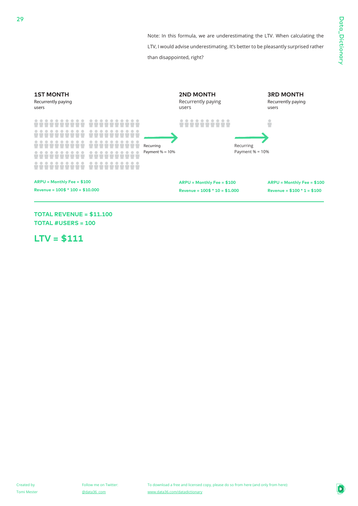Note: In this formula, we are underestimating the LTV. When calculating the LTV, I would advise underestimating. It's better to be pleasantly surprised rather

than disappointed, right?



**TOTAL REVENUE = \$11.100 TOTAL #USERS = 100**

**LTV = \$111**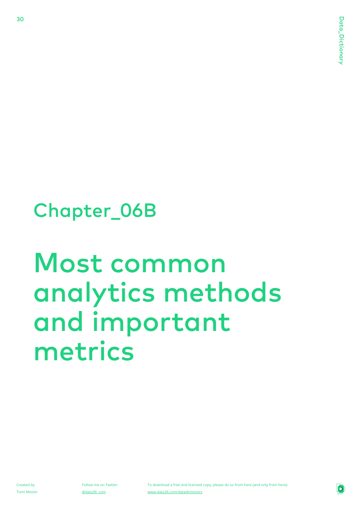### Chapter\_06B

## Most common analytics methods and important metrics

Created by Tomi Mester

30

Follow me on Twitter: @data36\_com

To download a free and licensed copy, please do so from here (and only from here): www.data36.com/datadictionary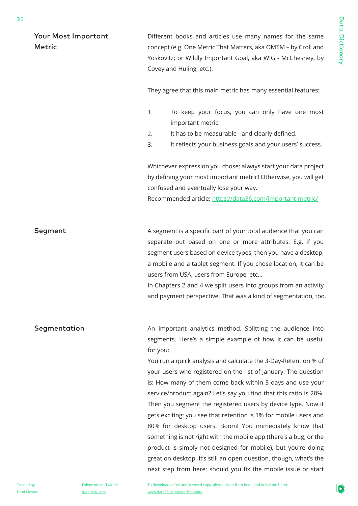Your Most Important Metric

Different books and articles use many names for the same concept (e.g. One Metric That Matters, aka OMTM – by Croll and Yoskovitz; or Wildly Important Goal, aka WIG - McChesney, by Covey and Huling; etc.).

They agree that this main metric has many essential features:

- 1. To keep your focus, you can only have one most important metric.
- 2. It has to be measurable - and clearly defined.
- 3. It reflects your business goals and your users' success.

Whichever expression you chose: always start your data project by defining your most important metric! Otherwise, you will get confused and eventually lose your way.

Recommended article: https://data36.com/important-metric/

A segment is a specific part of your total audience that you can separate out based on one or more attributes. E.g. if you segment users based on device types, then you have a desktop, a mobile and a tablet segment. If you chose location, it can be users from USA, users from Europe, etc… Segment

> In Chapters 2 and 4 we split users into groups from an activity and payment perspective. That was a kind of segmentation, too.

An important analytics method. Splitting the audience into segments. Here's a simple example of how it can be useful for you: Segmentation

> You run a quick analysis and calculate the 3-Day-Retention % of your users who registered on the 1st of January. The question is: How many of them come back within 3 days and use your service/product again? Let's say you find that this ratio is 20%. Then you segment the registered users by device type. Now it gets exciting: you see that retention is 1% for mobile users and 80% for desktop users. Boom! You immediately know that something is not right with the mobile app (there's a bug, or the product is simply not designed for mobile), but you're doing great on desktop. It's still an open question, though, what's the next step from here: should you fix the mobile issue or start

Created by Tomi Mester Follow me on Twitter: @data36\_com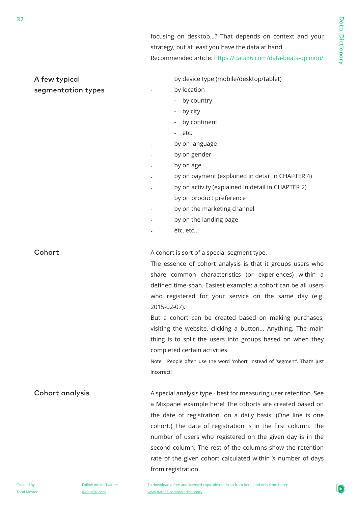focusing on desktop…? That depends on context and your strategy, but at least you have the data at hand. Recommended article: https://data36.com/data-beats-opinion/

#### - - - - - - - - - - - A cohort is sort of a special segment type. The essence of cohort analysis is that it groups users who share common characteristics (or experiences) within a defined time-span. Easiest example: a cohort can be all users who registered for your service on the same day (e.g. 2015-02-07). But a cohort can be created based on making purchases, visiting the website, clicking a button… Anything. The main thing is to split the users into groups based on when they completed certain activities. Note: People often use the word 'cohort' instead of 'segment'. That's just incorrect! A special analysis type - best for measuring user retention. See a Mixpanel example here! The cohorts are created based on the date of registration, on a daily basis. (One line is one cohort.) The date of registration is in the first column. The number of users who registered on the given day is in the second column. The rest of the columns show the retention rate of the given cohort calculated within X number of days from registration. A few typical segmentation types **Cohort** Cohort analysis by device type (mobile/desktop/tablet) by location - by country - by city - by continent - etc. by on language by on gender by on age by on payment (explained in detail in CHAPTER 4) by on activity (explained in detail in CHAPTER 2) by on product preference by on the marketing channel by on the landing page etc, etc...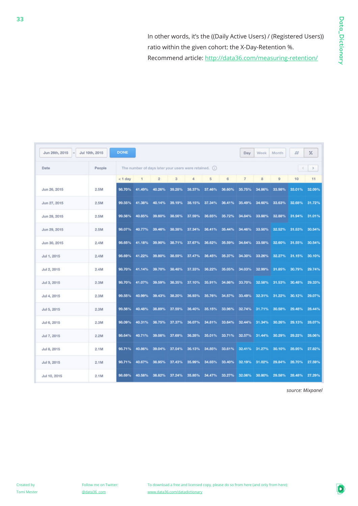In other words, it's the ((Daily Active Users) / (Registered Users)) ratio within the given cohort: the X-Day-Retention %. Recommend article: http://data36.com/measuring-retention/

| <b>DONE</b><br>Jun 26th, 2015<br>Jul 10th, 2015 |        |                                                        |        |                |        | Day    | Week   | Month  | #              | %      |                |               |        |
|-------------------------------------------------|--------|--------------------------------------------------------|--------|----------------|--------|--------|--------|--------|----------------|--------|----------------|---------------|--------|
| Date                                            | People | The number of days later your users were retained. (i) |        |                |        |        |        |        |                |        | ×              | $\rightarrow$ |        |
|                                                 |        | $<$ 1 day                                              |        | $\overline{2}$ | 3      | 4      | 5      | 6      | $\overline{7}$ | 8      | $\overline{9}$ | 10            | 11     |
| Jun 26, 2015                                    | 2.5M   | 98.70%                                                 | 41.49% | 40.26%         | 39.28% | 38.37% | 37.46% | 36.60% | 35.75%         | 34.86% | 33.98%         | 33.01%        | 32.09% |
| Jun 27, 2015                                    | 2.5M   | 99.55%                                                 | 41.38% | 40.14%         | 39.19% | 38.15% | 37.34% | 36.41% | 35.49%         | 34.60% | 33.63%         | 32.68%        | 31.72% |
| Jun 28, 2015                                    | 2.5M   | 99.56%                                                 | 40.85% | 39.60%         | 38.56% | 37.59% | 36.65% | 35.72% | 34.84%         | 33.88% | 32.88%         | 31.94%        | 31.01% |
| Jun 29, 2015                                    | 2.5M   | 98.07%                                                 | 40.77% | 39.46%         | 38.38% | 37.34% | 36.41% | 35.44% | 34,46%         | 33.50% | 32.52%         | 31.53%        | 30,54% |
| Jun 30, 2015                                    | 2.4M   | 98.65%                                                 | 41.18% | 39.90%         | 38.71% | 37.67% | 36.62% | 35.59% | 34.64%         | 33.58% | 32.60%         | 31.55%        | 30.54% |
| Jul 1, 2015                                     | 2.4M   | 98.69%                                                 | 41.22% | 39.80%         | 38.59% | 37.47% | 36,45% | 35.37% | 34.30%         | 33.26% | 32.27%         | 31.15%        | 30.10% |
| Jul 2, 2015                                     | 2.4M   | 98.70%                                                 | 41.14% | 39.70%         | 38.48% | 37.33% | 36.22% | 35.05% | 34.03%         | 32.99% | 31.85%         | 30.79%        | 29.74% |
| Jul 3, 2015                                     | 2.3M   | 98.70%                                                 | 41.07% | 39.59%         | 38.35% | 37.10% | 35.91% | 34.86% | 33.70%         | 32.58% | 31.53%         | 30.48%        | 29.33% |
| Jul 4, 2015                                     | 2.3M   | 99.55%                                                 | 40.99% | 39.43%         | 38.20% | 36.93% | 35.76% | 34.57% | 33.49%         | 32.31% | 31.22%         | 30.12%        | 29.07% |
| Jul 5, 2015                                     | 2.3M   | 99.56%                                                 | 40.48% | 38.89%         | 37.59% | 36.40% | 35.15% | 33.96% | 32.74%         | 31.71% | 30.58%         | 29.48%        | 28.44% |
| Jul 6, 2015                                     | 2.3M   | 98.09%                                                 | 40.31% | 38.75%         | 37.37% | 36.07% | 34.81% | 33.64% | 32.44%         | 31.34% | 30.26%         | 29.13%        | 28.07% |
| Jul 7, 2015                                     | 2.2M   | 98.64%                                                 | 40.71% | 39.08%         | 37.69% | 36,28% | 35.01% | 33.71% | 32.57%         | 31.44% | 30.29%         | 29.22%        | 28.06% |
| Jul 8, 2015                                     | 2.1M   | 98.71%                                                 | 40.86% | 39.04%         | 37.54% | 36.13% | 34.85% | 33.61% | 32.41%         | 31.27% | 30.10%         | 28.95%        | 27.82% |
| Jul 9, 2015                                     | 2.1M   | 98.71%                                                 | 40.67% | 38.95%         | 37.43% | 35.99% | 34.65% | 33.40% | 32.19%         | 31.02% | 29.84%         | 28.70%        | 27.59% |
| Jul 10, 2015                                    | 2.1M   | 98.69%                                                 | 40.58% | 38.82%         | 37.24% | 35.85% | 34,47% | 33.27% | 32.06%         | 30.80% | 29.58%         | 28.48%        | 27.29% |

*source: Mixpanel*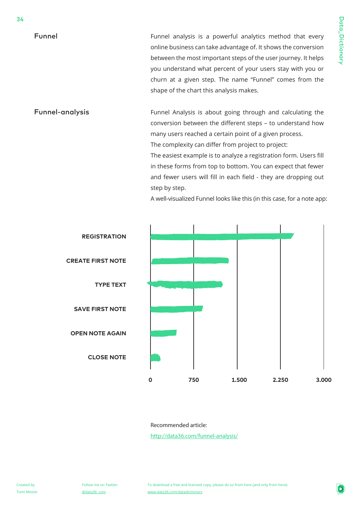Funnel

34

Funnel analysis is a powerful analytics method that every online business can take advantage of. It shows the conversion between the most important steps of the user journey. It helps you understand what percent of your users stay with you or churn at a given step. The name "Funnel" comes from the shape of the chart this analysis makes.

Funnel Analysis is about going through and calculating the conversion between the different steps – to understand how many users reached a certain point of a given process. The complexity can differ from project to project: The easiest example is to analyze a registration form. Users fill Funnel-analysis

> in these forms from top to bottom. You can expect that fewer and fewer users will fill in each field - they are dropping out step by step.

A well-visualized Funnel looks like this (in this case, for a note app:



Recommended article:

http://data36.com/funnel-analysis/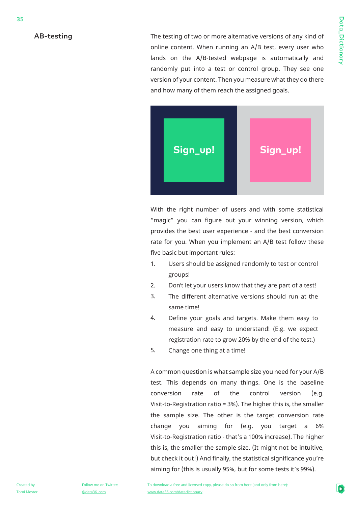#### AB-testing

The testing of two or more alternative versions of any kind of online content. When running an A/B test, every user who lands on the A/B-tested webpage is automatically and randomly put into a test or control group. They see one version of your content. Then you measure what they do there and how many of them reach the assigned goals.



With the right number of users and with some statistical "magic" you can figure out your winning version, which provides the best user experience - and the best conversion rate for you. When you implement an A/B test follow these five basic but important rules:

- 1. Users should be assigned randomly to test or control groups!
- 2. Don't let your users know that they are part of a test!
- 3. The different alternative versions should run at the same time!
- 4. Define your goals and targets. Make them easy to measure and easy to understand! (E.g. we expect registration rate to grow 20% by the end of the test.)
- 5. Change one thing at a time!

A common question is what sample size you need for your A/B test. This depends on many things. One is the baseline conversion rate of the control version (e.g. Visit-to-Registration ratio = 3%). The higher this is, the smaller the sample size. The other is the target conversion rate change you aiming for (e.g. you target a 6% Visit-to-Registration ratio - that's a 100% increase). The higher this is, the smaller the sample size. (It might not be intuitive, but check it out!) And finally, the statistical significance you're aiming for (this is usually 95%, but for some tests it's 99%).

Data\_Dictionary

Data\_Dictionary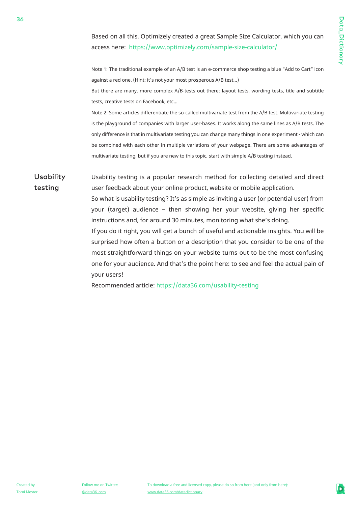Based on all this, Optimizely created a great Sample Size Calculator, which you can access here: https://www.optimizely.com/sample-size-calculator/

Note 1: The traditional example of an A/B test is an e-commerce shop testing a blue "Add to Cart" icon against a red one. (Hint: it's not your most prosperous A/B test...)

But there are many, more complex A/B-tests out there: layout tests, wording tests, title and subtitle tests, creative tests on Facebook, etc…

Note 2: Some articles differentiate the so-called multivariate test from the A/B test. Multivariate testing is the playground of companies with larger user-bases. It works along the same lines as A/B tests. The only difference is that in multivariate testing you can change many things in one experiment - which can be combined with each other in multiple variations of your webpage. There are some advantages of multivariate testing, but if you are new to this topic, start with simple A/B testing instead.

Usability testing Usability testing is a popular research method for collecting detailed and direct user feedback about your online product, website or mobile application.

> So what is usability testing? It's as simple as inviting a user (or potential user) from your (target) audience – then showing her your website, giving her specific instructions and, for around 30 minutes, monitoring what she's doing.

> If you do it right, you will get a bunch of useful and actionable insights. You will be surprised how often a button or a description that you consider to be one of the most straightforward things on your website turns out to be the most confusing one for your audience. And that's the point here: to see and feel the actual pain of your users!

Recommended article: https://data36.com/usability-testing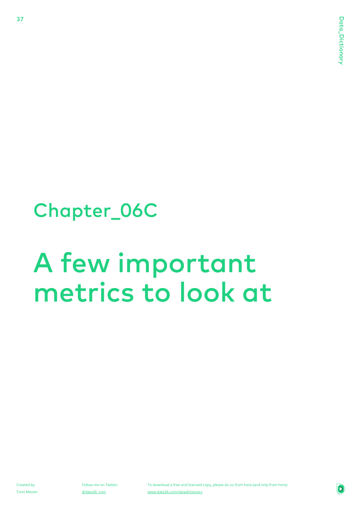### Chapter\_06C

## A few important metrics to look at

Created by Tomi Mester

37

Follow me on Twitter: @data36\_com

To download a free and licensed copy, please do so from here (and only from here): www.data36.com/datadictionary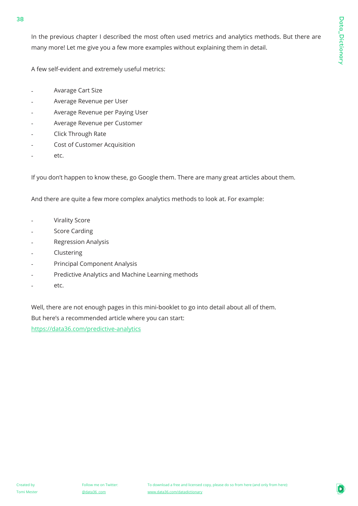In the previous chapter I described the most often used metrics and analytics methods. But there are many more! Let me give you a few more examples without explaining them in detail.

A few self-evident and extremely useful metrics:

- Avarage Cart Size -
- Average Revenue per User -
- Average Revenue per Paying User -
- Average Revenue per Customer -
- Click Through Rate -
- Cost of Customer Acquisition -
- etc. -

If you don't happen to know these, go Google them. There are many great articles about them.

And there are quite a few more complex analytics methods to look at. For example:

- Virality Score -
- Score Carding -
- Regression Analysis -
- Clustering -
- Principal Component Analysis -
- Predictive Analytics and Machine Learning methods -
- etc. -

Well, there are not enough pages in this mini-booklet to go into detail about all of them. But here's a recommended article where you can start:

https://data36.com/predictive-analytics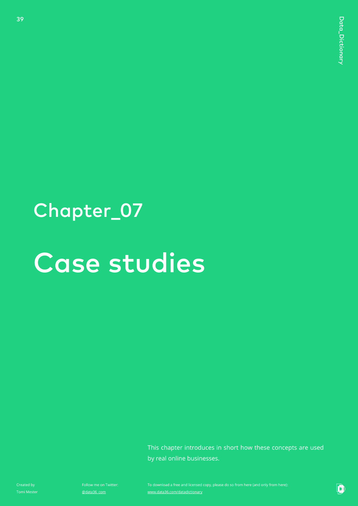### Chapter\_07

## Case studies

This chapter introduces in short how these concepts are used by real online businesses.

Created by

39

Follow me on Twitter: @data36\_com

www.data36.com/datadictionary

D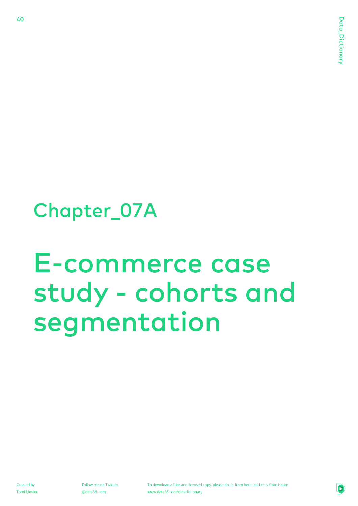### Chapter\_07A

## E-commerce case study - cohorts and segmentation

Created by Tomi Mester

40

Follow me on Twitter: @data36\_com

To download a free and licensed copy, please do so from here (and only from here): www.data36.com/datadictionary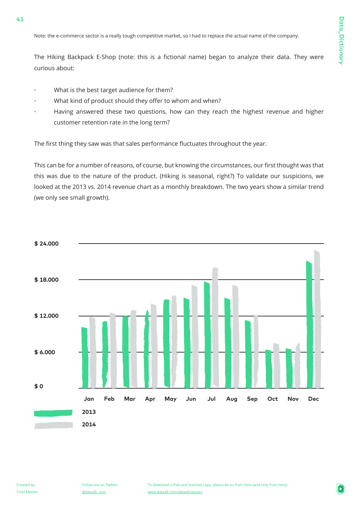Note: the e-commerce sector is a really tough competitive market, so I had to replace the actual name of the company.

The Hiking Backpack E-Shop (note: this is a fictional name) began to analyze their data. They were curious about:

- What is the best target audience for them?

41

- What kind of product should they offer to whom and when?
- Having answered these two questions, how can they reach the highest revenue and higher customer retention rate in the long term?

The first thing they saw was that sales performance fluctuates throughout the year.

This can be for a number of reasons, of course, but knowing the circumstances, our first thought was that this was due to the nature of the product. (Hiking is seasonal, right?) To validate our suspicions, we looked at the 2013 vs. 2014 revenue chart as a monthly breakdown. The two years show a similar trend (we only see small growth).

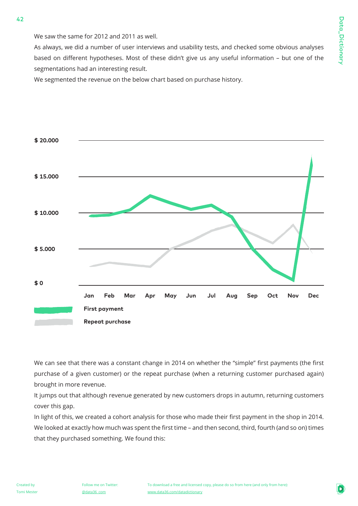We saw the same for 2012 and 2011 as well.

As always, we did a number of user interviews and usability tests, and checked some obvious analyses based on different hypotheses. Most of these didn't give us any useful information – but one of the segmentations had an interesting result.

We segmented the revenue on the below chart based on purchase history.



We can see that there was a constant change in 2014 on whether the "simple" first payments (the first purchase of a given customer) or the repeat purchase (when a returning customer purchased again) brought in more revenue.

It jumps out that although revenue generated by new customers drops in autumn, returning customers cover this gap.

In light of this, we created a cohort analysis for those who made their first payment in the shop in 2014. We looked at exactly how much was spent the first time – and then second, third, fourth (and so on) times that they purchased something. We found this: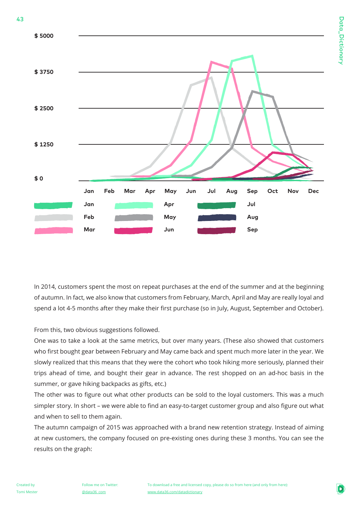

In 2014, customers spent the most on repeat purchases at the end of the summer and at the beginning of autumn. In fact, we also know that customers from February, March, April and May are really loyal and spend a lot 4-5 months after they make their first purchase (so in July, August, September and October).

From this, two obvious suggestions followed.

One was to take a look at the same metrics, but over many years. (These also showed that customers who first bought gear between February and May came back and spent much more later in the year. We slowly realized that this means that they were the cohort who took hiking more seriously, planned their trips ahead of time, and bought their gear in advance. The rest shopped on an ad-hoc basis in the summer, or gave hiking backpacks as gifts, etc.)

The other was to figure out what other products can be sold to the loyal customers. This was a much simpler story. In short – we were able to find an easy-to-target customer group and also figure out what and when to sell to them again.

The autumn campaign of 2015 was approached with a brand new retention strategy. Instead of aiming at new customers, the company focused on pre-existing ones during these 3 months. You can see the results on the graph: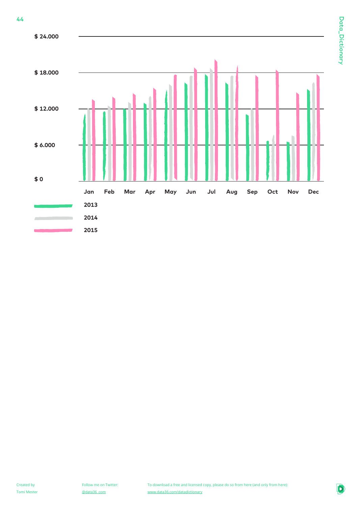44

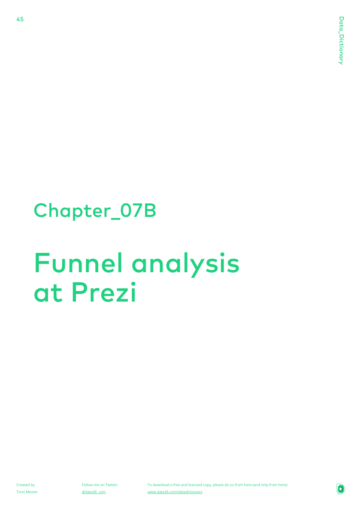### Chapter\_07B

## Funnel analysis at Prezi

Created by Tomi Mester

45

Follow me on Twitter: @data36\_com

To download a free and licensed copy, please do so from here (and only from here): www.data36.com/datadictionary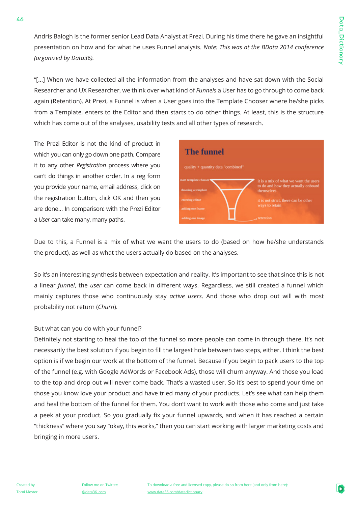Andris Balogh is the former senior Lead Data Analyst at Prezi. During his time there he gave an insightful presentation on how and for what he uses Funnel analysis. *Note: This was at the BData 2014 conference (organized by Data36).*

"[...] When we have collected all the information from the analyses and have sat down with the Social Researcher and UX Researcher, we think over what kind of *Funnels* a User has to go through to come back again (Retention). At Prezi, a Funnel is when a User goes into the Template Chooser where he/she picks from a Template, enters to the Editor and then starts to do other things. At least, this is the structure which has come out of the analyses, usability tests and all other types of research.

The Prezi Editor is not the kind of product in which you can only go down one path. Compare it to any other *Registration* process where you can't do things in another order. In a reg form you provide your name, email address, click on the registration button, click OK and then you are done… In comparison: with the Prezi Editor a *User* can take many, many paths.



Due to this, a Funnel is a mix of what we want the users to do (based on how he/she understands the product), as well as what the users actually do based on the analyses.

So it's an interesting synthesis between expectation and reality. It's important to see that since this is not a linear *funnel*, the *user* can come back in different ways. Regardless, we still created a funnel which mainly captures those who continuously stay *active users*. And those who drop out will with most probability not return (*Churn*).

#### But what can you do with your funnel?

Definitely not starting to heal the top of the funnel so more people can come in through there. It's not necessarily the best solution if you begin to fill the largest hole between two steps, either. I think the best option is if we begin our work at the bottom of the funnel. Because if you begin to pack users to the top of the funnel (e.g. with Google AdWords or Facebook Ads), those will churn anyway. And those you load to the top and drop out will never come back. That's a wasted user. So it's best to spend your time on those you know love your product and have tried many of your products. Let's see what can help them and heal the bottom of the funnel for them. You don't want to work with those who come and just take a peek at your product. So you gradually fix your funnel upwards, and when it has reached a certain "thickness" where you say "okay, this works," then you can start working with larger marketing costs and bringing in more users.

46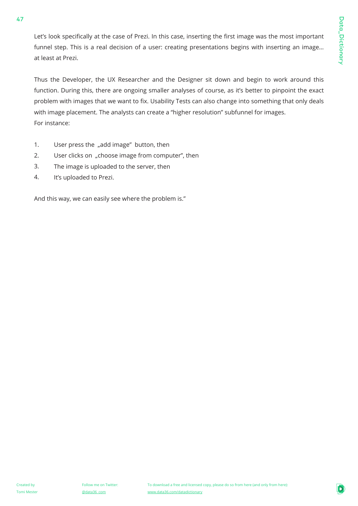Let's look specifically at the case of Prezi. In this case, inserting the first image was the most important funnel step. This is a real decision of a user: creating presentations begins with inserting an image… at least at Prezi.

Thus the Developer, the UX Researcher and the Designer sit down and begin to work around this function. During this, there are ongoing smaller analyses of course, as it's better to pinpoint the exact problem with images that we want to fix. Usability Tests can also change into something that only deals with image placement. The analysts can create a "higher resolution" subfunnel for images. For instance:

- 1. User press the "add image" button, then
- 2. User clicks on "choose image from computer", then
- 3. The image is uploaded to the server, then
- 4. It's uploaded to Prezi.

And this way, we can easily see where the problem is."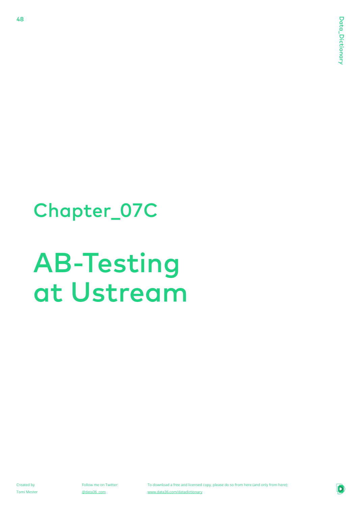### Chapter\_07C

## AB-Testing at Ustream

Created by Tomi Mester

48

Follow me on Twitter: @data36\_com

To download a free and licensed copy, please do so from here (and only from here): www.data36.com/datadictionary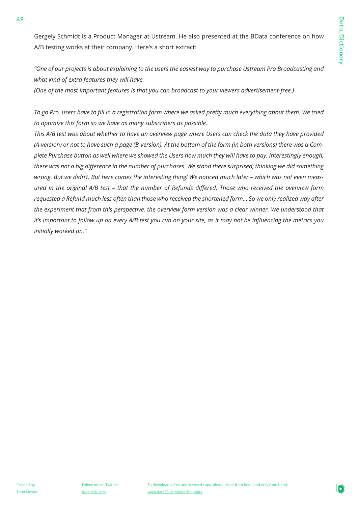Gergely Schmidt is a Product Manager at Ustream. He also presented at the BData conference on how A/B testing works at their company. Here's a short extract:

*"One of our projects is about explaining to the users the easiest way to purchase Ustream Pro Broadcasting and what kind of extra features they will have.* 

*(One of the most important features is that you can broadcast to your viewers advertisement-free.)*

*To go Pro, users have to fill in a registration form where we asked pretty much everything about them. We tried to optimize this form so we have as many subscribers as possible.*

*This A/B test was about whether to have an overview page where Users can check the data they have provided (A-version) or not to have such a page (B-version). At the bottom of the form (in both versions) there was a Complete Purchase button as well where we showed the Users how much they will have to pay. Interestingly enough, there was not a big difference in the number of purchases. We stood there surprised, thinking we did something wrong. But we didn't. But here comes the interesting thing! We noticed much later – which was not even measured in the original A/B test – that the number of Refunds differed. Those who received the overview form requested a Refund much less often than those who received the shortened form... So we only realized way after the experiment that from this perspective, the overview form version was a clear winner. We understood that it's important to follow up on every A/B test you run on your site, as it may not be influencing the metrics you initially worked on."*

49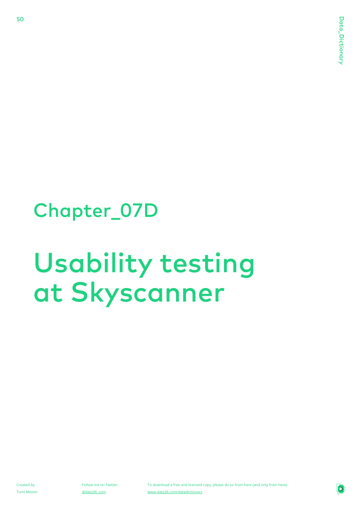### Chapter\_07D

## Usability testing at Skyscanner

Created by Tomi Mester

50

Follow me on Twitter: @data36\_com

To download a free and licensed copy, please do so from here (and only from here): www.data36.com/datadictionary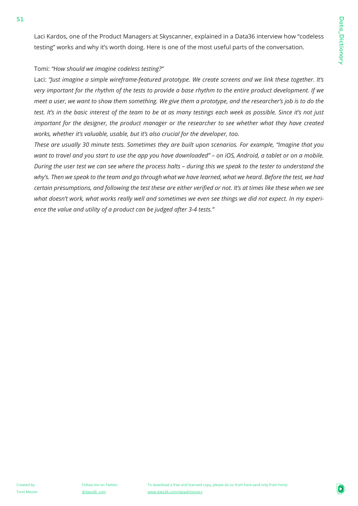Laci Kardos, one of the Product Managers at Skyscanner, explained in a Data36 interview how "codeless testing" works and why it's worth doing. Here is one of the most useful parts of the conversation.

#### Tomi: *"How should we imagine codeless testing?"*

Laci: *"Just imagine a simple wireframe-featured prototype. We create screens and we link these together. It's very important for the rhythm of the tests to provide a base rhythm to the entire product development. If we meet a user, we want to show them something. We give them a prototype, and the researcher's job is to do the test. It's in the basic interest of the team to be at as many testings each week as possible. Since it's not just important for the designer, the product manager or the researcher to see whether what they have created works, whether it's valuable, usable, but it's also crucial for the developer, too.*

*These are usually 30 minute tests. Sometimes they are built upon scenarios. For example, "Imagine that you want to travel and you start to use the app you have downloaded" – on iOS, Android, a tablet or on a mobile. During the user test we can see where the process halts – during this we speak to the tester to understand the why's. Then we speak to the team and go through what we have learned, what we heard. Before the test, we had certain presumptions, and following the test these are either verified or not. It's at times like these when we see what doesn't work, what works really well and sometimes we even see things we did not expect. In my experience the value and utility of a product can be judged after 3-4 tests."*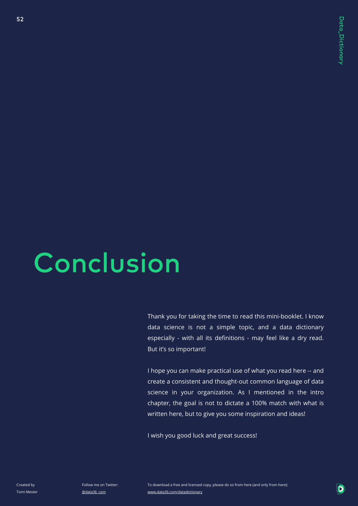## **Conclusion**

Thank you for taking the time to read this mini-booklet. I know data science is not a simple topic, and a data dictionary especially - with all its definitions - may feel like a dry read. But it's so important!

I hope you can make practical use of what you read here -- and create a consistent and thought-out common language of data science in your organization. As I mentioned in the intro chapter, the goal is not to dictate a 100% match with what is written here, but to give you some inspiration and ideas!

I wish you good luck and great success!

Created by Tomi Mester

52

Follow me on Twitter: @data36\_com